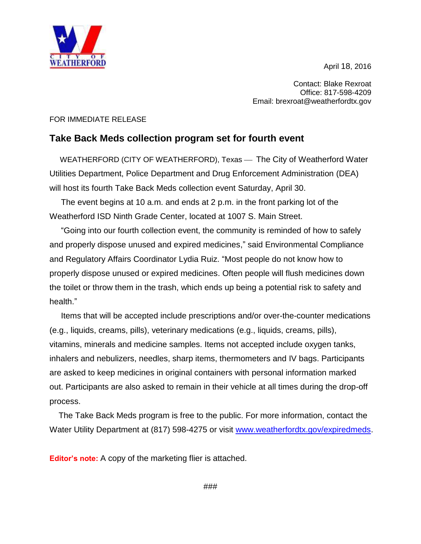April 18, 2016



Contact: Blake Rexroat Office: 817-598-4209 Email: brexroat@weatherfordtx.gov

## FOR IMMEDIATE RELEASE

## **Take Back Meds collection program set for fourth event**

WEATHERFORD (CITY OF WEATHERFORD), Texas — The City of Weatherford Water Utilities Department, Police Department and Drug Enforcement Administration (DEA) will host its fourth Take Back Meds collection event Saturday, April 30.

 The event begins at 10 a.m. and ends at 2 p.m. in the front parking lot of the Weatherford ISD Ninth Grade Center, located at 1007 S. Main Street.

 "Going into our fourth collection event, the community is reminded of how to safely and properly dispose unused and expired medicines," said Environmental Compliance and Regulatory Affairs Coordinator Lydia Ruiz. "Most people do not know how to properly dispose unused or expired medicines. Often people will flush medicines down the toilet or throw them in the trash, which ends up being a potential risk to safety and health."

 Items that will be accepted include prescriptions and/or over-the-counter medications (e.g., liquids, creams, pills), veterinary medications (e.g., liquids, creams, pills), vitamins, minerals and medicine samples. Items not accepted include oxygen tanks, inhalers and nebulizers, needles, sharp items, thermometers and IV bags. Participants are asked to keep medicines in original containers with personal information marked out. Participants are also asked to remain in their vehicle at all times during the drop-off process.

 The Take Back Meds program is free to the public. For more information, contact the Water Utility Department at (817) 598-4275 or visit [www.weatherfordtx.gov/expiredmeds.](http://www.weatherfordtx.gov/expiredmeds)

**Editor's note:** A copy of the marketing flier is attached.